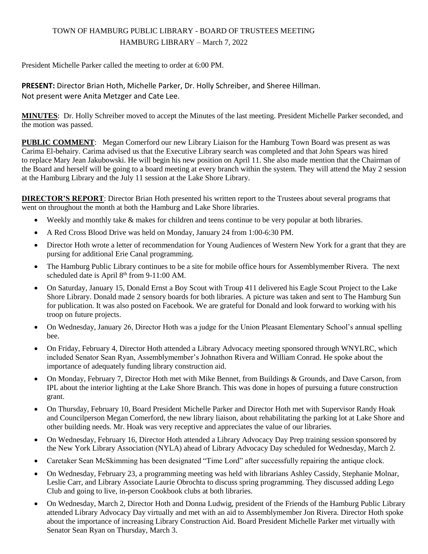# TOWN OF HAMBURG PUBLIC LIBRARY - BOARD OF TRUSTEES MEETING HAMBURG LIBRARY – March 7, 2022

President Michelle Parker called the meeting to order at 6:00 PM.

**PRESENT:** Director Brian Hoth, Michelle Parker, Dr. Holly Schreiber, and Sheree Hillman. Not present were Anita Metzger and Cate Lee.

**MINUTES**: Dr. Holly Schreiber moved to accept the Minutes of the last meeting. President Michelle Parker seconded, and the motion was passed.

**PUBLIC COMMENT**: Megan Comerford our new Library Liaison for the Hamburg Town Board was present as was Carima El-behairy. Carima advised us that the Executive Library search was completed and that John Spears was hired to replace Mary Jean Jakubowski. He will begin his new position on April 11. She also made mention that the Chairman of the Board and herself will be going to a board meeting at every branch within the system. They will attend the May 2 session at the Hamburg Library and the July 11 session at the Lake Shore Library.

**DIRECTOR'S REPORT**: Director Brian Hoth presented his written report to the Trustees about several programs that went on throughout the month at both the Hamburg and Lake Shore libraries.

- Weekly and monthly take  $\&$  makes for children and teens continue to be very popular at both libraries.
- A Red Cross Blood Drive was held on Monday, January 24 from 1:00-6:30 PM.
- Director Hoth wrote a letter of recommendation for Young Audiences of Western New York for a grant that they are pursing for additional Erie Canal programming.
- The Hamburg Public Library continues to be a site for mobile office hours for Assemblymember Rivera. The next scheduled date is April  $8<sup>th</sup>$  from 9-11:00 AM.
- On Saturday, January 15, Donald Ernst a Boy Scout with Troup 411 delivered his Eagle Scout Project to the Lake Shore Library. Donald made 2 sensory boards for both libraries. A picture was taken and sent to The Hamburg Sun for publication. It was also posted on Facebook. We are grateful for Donald and look forward to working with his troop on future projects.
- On Wednesday, January 26, Director Hoth was a judge for the Union Pleasant Elementary School's annual spelling bee.
- On Friday, February 4, Director Hoth attended a Library Advocacy meeting sponsored through WNYLRC, which included Senator Sean Ryan, Assemblymember's Johnathon Rivera and William Conrad. He spoke about the importance of adequately funding library construction aid.
- On Monday, February 7, Director Hoth met with Mike Bennet, from Buildings & Grounds, and Dave Carson, from IPL about the interior lighting at the Lake Shore Branch. This was done in hopes of pursuing a future construction grant.
- On Thursday, February 10, Board President Michelle Parker and Director Hoth met with Supervisor Randy Hoak and Councilperson Megan Comerford, the new library liaison, about rehabilitating the parking lot at Lake Shore and other building needs. Mr. Hoak was very receptive and appreciates the value of our libraries.
- On Wednesday, February 16, Director Hoth attended a Library Advocacy Day Prep training session sponsored by the New York Library Association (NYLA) ahead of Library Advocacy Day scheduled for Wednesday, March 2.
- Caretaker Sean McSkimming has been designated "Time Lord" after successfully repairing the antique clock.
- On Wednesday, February 23, a programming meeting was held with librarians Ashley Cassidy, Stephanie Molnar, Leslie Carr, and Library Associate Laurie Obrochta to discuss spring programming. They discussed adding Lego Club and going to live, in-person Cookbook clubs at both libraries.
- On Wednesday, March 2, Director Hoth and Donna Ludwig, president of the Friends of the Hamburg Public Library attended Library Advocacy Day virtually and met with an aid to Assemblymember Jon Rivera. Director Hoth spoke about the importance of increasing Library Construction Aid. Board President Michelle Parker met virtually with Senator Sean Ryan on Thursday, March 3.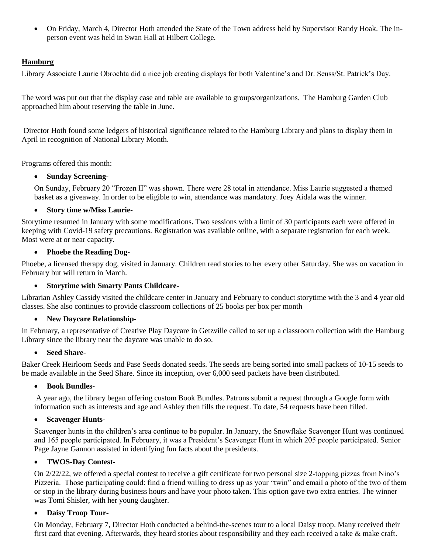On Friday, March 4, Director Hoth attended the State of the Town address held by Supervisor Randy Hoak. The inperson event was held in Swan Hall at Hilbert College.

## **Hamburg**

Library Associate Laurie Obrochta did a nice job creating displays for both Valentine's and Dr. Seuss/St. Patrick's Day.

The word was put out that the display case and table are available to groups/organizations. The Hamburg Garden Club approached him about reserving the table in June.

Director Hoth found some ledgers of historical significance related to the Hamburg Library and plans to display them in April in recognition of National Library Month.

Programs offered this month:

### **Sunday Screening-**

On Sunday, February 20 "Frozen II" was shown. There were 28 total in attendance. Miss Laurie suggested a themed basket as a giveaway. In order to be eligible to win, attendance was mandatory. Joey Aidala was the winner.

#### **Story time w/Miss Laurie-**

Storytime resumed in January with some modifications**.** Two sessions with a limit of 30 participants each were offered in keeping with Covid-19 safety precautions. Registration was available online, with a separate registration for each week. Most were at or near capacity.

#### **Phoebe the Reading Dog-**

Phoebe, a licensed therapy dog, visited in January. Children read stories to her every other Saturday. She was on vacation in February but will return in March.

#### **Storytime with Smarty Pants Childcare-**

Librarian Ashley Cassidy visited the childcare center in January and February to conduct storytime with the 3 and 4 year old classes. She also continues to provide classroom collections of 25 books per box per month

### **New Daycare Relationship-**

In February, a representative of Creative Play Daycare in Getzville called to set up a classroom collection with the Hamburg Library since the library near the daycare was unable to do so.

#### • Seed Share-

Baker Creek Heirloom Seeds and Pase Seeds donated seeds. The seeds are being sorted into small packets of 10-15 seeds to be made available in the Seed Share. Since its inception, over 6,000 seed packets have been distributed.

### **Book Bundles-**

A year ago, the library began offering custom Book Bundles. Patrons submit a request through a Google form with information such as interests and age and Ashley then fills the request. To date, 54 requests have been filled.

### **Scavenger Hunts-**

Scavenger hunts in the children's area continue to be popular. In January, the Snowflake Scavenger Hunt was continued and 165 people participated. In February, it was a President's Scavenger Hunt in which 205 people participated. Senior Page Jayne Gannon assisted in identifying fun facts about the presidents.

### **TWOS-Day Contest-**

On 2/22/22, we offered a special contest to receive a gift certificate for two personal size 2-topping pizzas from Nino's Pizzeria. Those participating could: find a friend willing to dress up as your "twin" and email a photo of the two of them or stop in the library during business hours and have your photo taken. This option gave two extra entries. The winner was Tomi Shisler, with her young daughter.

### **Daisy Troop Tour-**

On Monday, February 7, Director Hoth conducted a behind-the-scenes tour to a local Daisy troop. Many received their first card that evening. Afterwards, they heard stories about responsibility and they each received a take & make craft.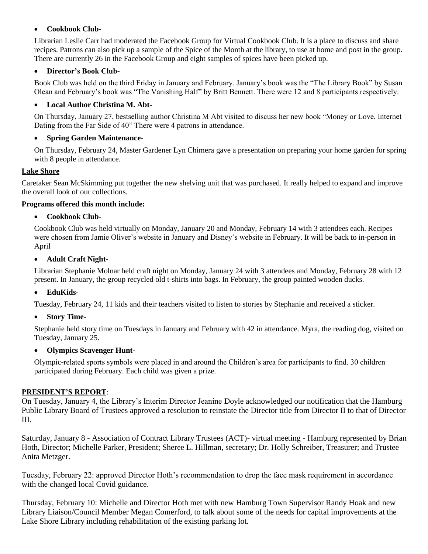## **Cookbook Club-**

Librarian Leslie Carr had moderated the Facebook Group for Virtual Cookbook Club. It is a place to discuss and share recipes. Patrons can also pick up a sample of the Spice of the Month at the library, to use at home and post in the group. There are currently 26 in the Facebook Group and eight samples of spices have been picked up.

### **Director's Book Club-**

Book Club was held on the third Friday in January and February. January's book was the "The Library Book" by Susan Olean and February's book was "The Vanishing Half" by Britt Bennett. There were 12 and 8 participants respectively.

## **Local Author Christina M. Abt-**

On Thursday, January 27, bestselling author Christina M Abt visited to discuss her new book "Money or Love, Internet Dating from the Far Side of 40" There were 4 patrons in attendance.

### **Spring Garden Maintenance**-

On Thursday, February 24, Master Gardener Lyn Chimera gave a presentation on preparing your home garden for spring with 8 people in attendance.

## **Lake Shore**

Caretaker Sean McSkimming put together the new shelving unit that was purchased. It really helped to expand and improve the overall look of our collections.

## **Programs offered this month include:**

**Cookbook Club-**

Cookbook Club was held virtually on Monday, January 20 and Monday, February 14 with 3 attendees each. Recipes were chosen from Jamie Oliver's website in January and Disney's website in February. It will be back to in-person in April

**Adult Craft Night-**

Librarian Stephanie Molnar held craft night on Monday, January 24 with 3 attendees and Monday, February 28 with 12 present. In January, the group recycled old t-shirts into bags. In February, the group painted wooden ducks.

## **EduKids-**

Tuesday, February 24, 11 kids and their teachers visited to listen to stories by Stephanie and received a sticker.

**Story Time**-

Stephanie held story time on Tuesdays in January and February with 42 in attendance. Myra, the reading dog, visited on Tuesday, January 25.

### **Olympics Scavenger Hunt-**

Olympic-related sports symbols were placed in and around the Children's area for participants to find. 30 children participated during February. Each child was given a prize.

### **PRESIDENT'S REPORT**:

On Tuesday, January 4, the Library's Interim Director Jeanine Doyle acknowledged our notification that the Hamburg Public Library Board of Trustees approved a resolution to reinstate the Director title from Director II to that of Director III.

Saturday, January 8 - Association of Contract Library Trustees (ACT)- virtual meeting - Hamburg represented by Brian Hoth, Director; Michelle Parker, President; Sheree L. Hillman, secretary; Dr. Holly Schreiber, Treasurer; and Trustee Anita Metzger.

Tuesday, February 22: approved Director Hoth's recommendation to drop the face mask requirement in accordance with the changed local Covid guidance.

Thursday, February 10: Michelle and Director Hoth met with new Hamburg Town Supervisor Randy Hoak and new Library Liaison/Council Member Megan Comerford, to talk about some of the needs for capital improvements at the Lake Shore Library including rehabilitation of the existing parking lot.